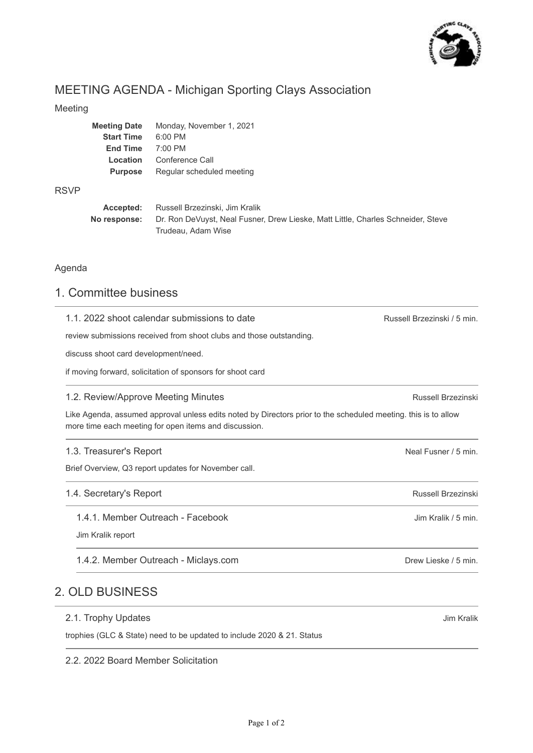

# MEETING AGENDA - Michigan Sporting Clays Association

### Meeting

| <b>Meeting Date</b> | Monday, November 1, 2021  |
|---------------------|---------------------------|
| <b>Start Time</b>   | $6:00$ PM                 |
| <b>End Time</b>     | $7:00 \text{ PM}$         |
| Location            | Conference Call           |
| <b>Purpose</b>      | Regular scheduled meeting |
|                     |                           |

### RSVP

| Accepted:    | Russell Brzezinski, Jim Kralik                                                   |
|--------------|----------------------------------------------------------------------------------|
| No response: | Dr. Ron DeVuyst, Neal Fusner, Drew Lieske, Matt Little, Charles Schneider, Steve |
|              | Trudeau, Adam Wise                                                               |

### Agenda

# 1. Committee business

| Russell Brzezinski / 5 min.                                                                                    |
|----------------------------------------------------------------------------------------------------------------|
|                                                                                                                |
|                                                                                                                |
|                                                                                                                |
| Russell Brzezinski                                                                                             |
| Like Agenda, assumed approval unless edits noted by Directors prior to the scheduled meeting. this is to allow |
| Neal Fusner / 5 min.                                                                                           |
|                                                                                                                |
| Russell Brzezinski                                                                                             |
| Jim Kralik / 5 min.                                                                                            |
|                                                                                                                |
| Drew Lieske / 5 min.                                                                                           |
|                                                                                                                |

### 2.1. Trophy Updates

trophies (GLC & State) need to be updated to include 2020 & 21. Status

2.2. 2022 Board Member Solicitation

Jim Kralik